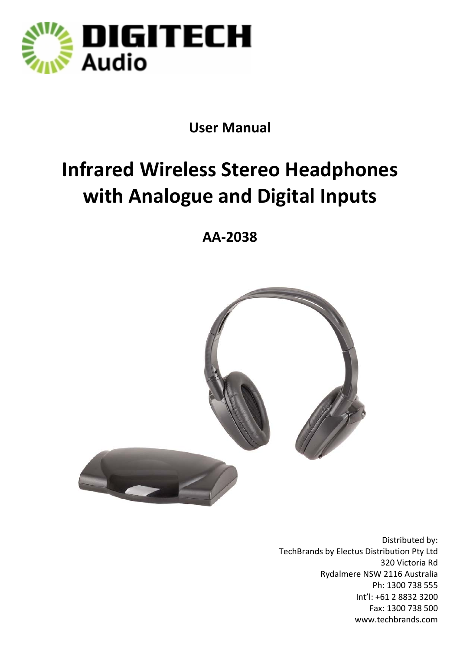

## **User Manual**

# **Infrared Wireless Stereo Headphones with Analogue and Digital Inputs**

**AA‐2038**



Distributed by: TechBrands by Electus Distribution Pty Ltd 320 Victoria Rd Rydalmere NSW 2116 Australia Ph: 1300 738 555 Int'l: +61 2 8832 3200 Fax: 1300 738 500 www.techbrands.com